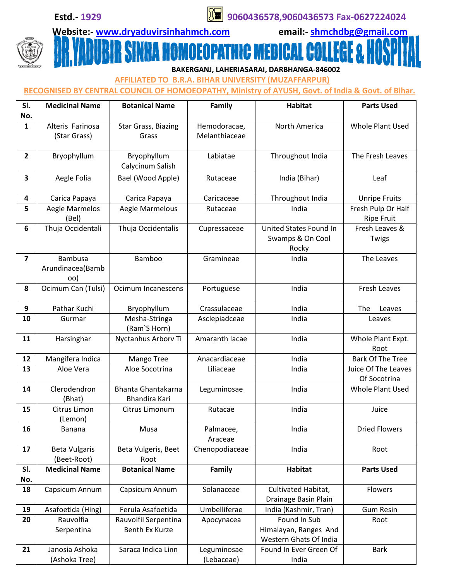**Estd.- 1929 9060436578,9060436573 Fax-0627224024**

## **Website:- [www.dryaduvirsinhahmch.com](http://www.dryaduvirsinhahmch.com/) email:- [shmchdbg@gmail.com](mailto:shmchdbg@gmail.com)**

**IFFER OMOEOPATHIC MEDICAL C** W  **BAKERGANJ, LAHERIASARAI, DARBHANGA-846002**

 **AFFILIATED TO B.R.A. BIHAR UNIVERSITY (MUZAFFARPUR)** 

## **RECOGNISED BY CENTRAL COUNCIL OF HOMOEOPATHY, Ministry of AYUSH, Govt. of India & Govt. of Bihar.**

| SI.            | <b>Medicinal Name</b>            | <b>Botanical Name</b>        | Family                        | <b>Habitat</b>         | <b>Parts Used</b>       |
|----------------|----------------------------------|------------------------------|-------------------------------|------------------------|-------------------------|
| No.            |                                  |                              |                               |                        |                         |
| $\mathbf{1}$   | Alteris Farinosa<br>(Star Grass) | Star Grass, Biazing<br>Grass | Hemodoracae,<br>Melanthiaceae | North America          | Whole Plant Used        |
|                |                                  |                              |                               |                        |                         |
| $\overline{2}$ | Bryophyllum                      | Bryophyllum                  | Labiatae                      | Throughout India       | The Fresh Leaves        |
|                |                                  | Calycinum Salish             |                               |                        |                         |
| 3              | Aegle Folia                      | Bael (Wood Apple)            | Rutaceae                      | India (Bihar)          | Leaf                    |
| 4              | Carica Papaya                    | Carica Papaya                | Caricaceae                    | Throughout India       | <b>Unripe Fruits</b>    |
| 5              | Aegle Marmelos                   | Aegle Marmelous              | Rutaceae                      | India                  | Fresh Pulp Or Half      |
|                | (Bel)                            |                              |                               |                        | <b>Ripe Fruit</b>       |
| 6              | Thuja Occidentali                | Thuja Occidentalis           | Cupressaceae                  | United States Found In | Fresh Leaves &          |
|                |                                  |                              |                               | Swamps & On Cool       | Twigs                   |
|                |                                  |                              |                               | Rocky                  |                         |
| $\overline{7}$ | <b>Bambusa</b>                   | <b>Bamboo</b>                | Gramineae                     | India                  | The Leaves              |
|                | Arundinacea(Bamb                 |                              |                               |                        |                         |
|                | oo)                              |                              |                               |                        |                         |
| 8              | Ocimum Can (Tulsi)               | Ocimum Incanescens           | Portuguese                    | India                  | Fresh Leaves            |
|                |                                  |                              |                               |                        |                         |
| 9              | Pathar Kuchi                     | Bryophyllum                  | Crassulaceae                  | India                  | The<br>Leaves           |
| 10             | Gurmar                           | Mesha-Stringa                | Asclepiadceae                 | India                  | Leaves                  |
|                |                                  | (Ram'S Horn)                 |                               |                        |                         |
| 11             | Harsinghar                       | Nyctanhus Arborv Ti          | Amaranth Iacae                | India                  | Whole Plant Expt.       |
|                |                                  |                              |                               |                        | Root                    |
| 12             | Mangifera Indica                 | Mango Tree                   | Anacardiaceae                 | India                  | <b>Bark Of The Tree</b> |
| 13             | Aloe Vera                        | Aloe Socotrina               | Liliaceae                     | India                  | Juice Of The Leaves     |
|                |                                  |                              |                               |                        | Of Socotrina            |
| 14             | Clerodendron                     | <b>Bhanta Ghantakarna</b>    | Leguminosae                   | India                  | Whole Plant Used        |
|                | (Bhat)                           | <b>Bhandira Kari</b>         |                               |                        |                         |
| 15             | Citrus Limon                     | Citrus Limonum               | Rutacae                       | India                  | Juice                   |
|                | (Lemon)                          |                              |                               |                        |                         |
| 16             | Banana                           | Musa                         | Palmacee,                     | India                  | <b>Dried Flowers</b>    |
|                |                                  |                              | Araceae                       |                        |                         |
| 17             | <b>Beta Vulgaris</b>             | Beta Vulgeris, Beet          | Chenopodiaceae                | India                  | Root                    |
|                | (Beet-Root)                      | Root                         |                               |                        |                         |
| SI.            | <b>Medicinal Name</b>            | <b>Botanical Name</b>        | Family                        | <b>Habitat</b>         | <b>Parts Used</b>       |
| No.            |                                  |                              |                               |                        |                         |
| 18             | Capsicum Annum                   | Capsicum Annum               | Solanaceae                    | Cultivated Habitat,    | Flowers                 |
|                |                                  |                              |                               | Drainage Basin Plain   |                         |
| 19             | Asafoetida (Hing)                | Ferula Asafoetida            | Umbelliferae                  | India (Kashmir, Tran)  | <b>Gum Resin</b>        |
| 20             | Rauvolfia                        | Rauvolfil Serpentina         | Apocynacea                    | Found In Sub           | Root                    |
|                | Serpentina                       | Benth Ex Kurze               |                               | Himalayan, Ranges And  |                         |
|                |                                  |                              |                               | Western Ghats Of India |                         |
| 21             | Janosia Ashoka                   | Saraca Indica Linn           | Leguminosae                   | Found In Ever Green Of | <b>Bark</b>             |
|                | (Ashoka Tree)                    |                              | (Lebaceae)                    | India                  |                         |